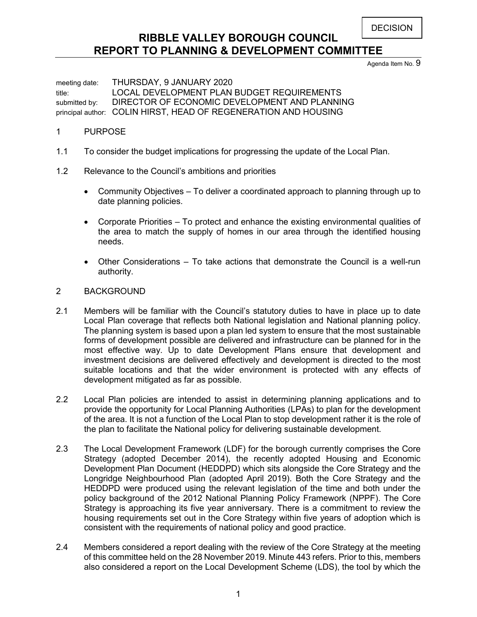**DECISION** 

# **RIBBLE VALLEY BOROUGH COUNCIL REPORT TO PLANNING & DEVELOPMENT COMMITTEE**

Agenda Item No. 9

meeting date: THURSDAY, 9 JANUARY 2020 title: LOCAL DEVELOPMENT PLAN BUDGET REQUIREMENTS submitted by: DIRECTOR OF ECONOMIC DEVELOPMENT AND PLANNING principal author: COLIN HIRST, HEAD OF REGENERATION AND HOUSING

# 1 PURPOSE

- 1.1 To consider the budget implications for progressing the update of the Local Plan.
- 1.2 Relevance to the Council's ambitions and priorities
	- Community Objectives To deliver a coordinated approach to planning through up to date planning policies.
	- Corporate Priorities To protect and enhance the existing environmental qualities of the area to match the supply of homes in our area through the identified housing needs.
	- Other Considerations To take actions that demonstrate the Council is a well-run authority.

# 2 BACKGROUND

- 2.1 Members will be familiar with the Council's statutory duties to have in place up to date Local Plan coverage that reflects both National legislation and National planning policy. The planning system is based upon a plan led system to ensure that the most sustainable forms of development possible are delivered and infrastructure can be planned for in the most effective way. Up to date Development Plans ensure that development and investment decisions are delivered effectively and development is directed to the most suitable locations and that the wider environment is protected with any effects of development mitigated as far as possible.
- 2.2 Local Plan policies are intended to assist in determining planning applications and to provide the opportunity for Local Planning Authorities (LPAs) to plan for the development of the area. It is not a function of the Local Plan to stop development rather it is the role of the plan to facilitate the National policy for delivering sustainable development.
- 2.3 The Local Development Framework (LDF) for the borough currently comprises the Core Strategy (adopted December 2014), the recently adopted Housing and Economic Development Plan Document (HEDDPD) which sits alongside the Core Strategy and the Longridge Neighbourhood Plan (adopted April 2019). Both the Core Strategy and the HEDDPD were produced using the relevant legislation of the time and both under the policy background of the 2012 National Planning Policy Framework (NPPF). The Core Strategy is approaching its five year anniversary. There is a commitment to review the housing requirements set out in the Core Strategy within five years of adoption which is consistent with the requirements of national policy and good practice.
- 2.4 Members considered a report dealing with the review of the Core Strategy at the meeting of this committee held on the 28 November 2019. Minute 443 refers. Prior to this, members also considered a report on the Local Development Scheme (LDS), the tool by which the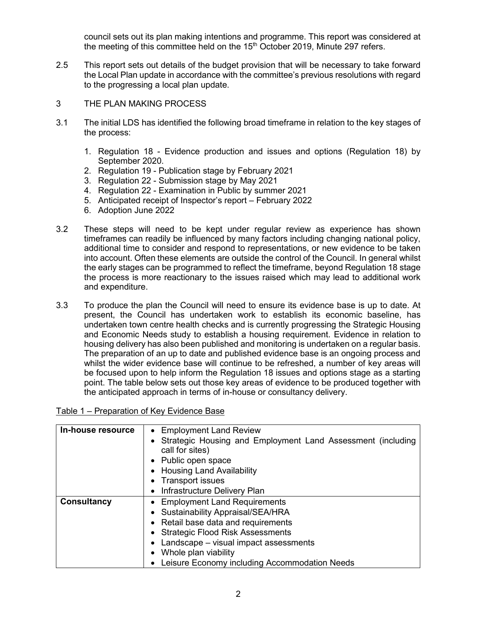council sets out its plan making intentions and programme. This report was considered at the meeting of this committee held on the 15<sup>th</sup> October 2019, Minute 297 refers.

- 2.5 This report sets out details of the budget provision that will be necessary to take forward the Local Plan update in accordance with the committee's previous resolutions with regard to the progressing a local plan update.
- 3 THE PLAN MAKING PROCESS
- 3.1 The initial LDS has identified the following broad timeframe in relation to the key stages of the process:
	- 1. Regulation 18 Evidence production and issues and options (Regulation 18) by September 2020.
	- 2. Regulation 19 Publication stage by February 2021
	- 3. Regulation 22 Submission stage by May 2021
	- 4. Regulation 22 Examination in Public by summer 2021
	- 5. Anticipated receipt of Inspector's report February 2022
	- 6. Adoption June 2022
- 3.2 These steps will need to be kept under regular review as experience has shown timeframes can readily be influenced by many factors including changing national policy, additional time to consider and respond to representations, or new evidence to be taken into account. Often these elements are outside the control of the Council. In general whilst the early stages can be programmed to reflect the timeframe, beyond Regulation 18 stage the process is more reactionary to the issues raised which may lead to additional work and expenditure.
- 3.3 To produce the plan the Council will need to ensure its evidence base is up to date. At present, the Council has undertaken work to establish its economic baseline, has undertaken town centre health checks and is currently progressing the Strategic Housing and Economic Needs study to establish a housing requirement. Evidence in relation to housing delivery has also been published and monitoring is undertaken on a regular basis. The preparation of an up to date and published evidence base is an ongoing process and whilst the wider evidence base will continue to be refreshed, a number of key areas will be focused upon to help inform the Regulation 18 issues and options stage as a starting point. The table below sets out those key areas of evidence to be produced together with the anticipated approach in terms of in-house or consultancy delivery.

| In-house resource  | • Employment Land Review                                                       |
|--------------------|--------------------------------------------------------------------------------|
|                    | Strategic Housing and Employment Land Assessment (including<br>call for sites) |
|                    | • Public open space                                                            |
|                    | <b>Housing Land Availability</b>                                               |
|                    | <b>Transport issues</b>                                                        |
|                    | Infrastructure Delivery Plan                                                   |
| <b>Consultancy</b> | <b>Employment Land Requirements</b>                                            |
|                    | • Sustainability Appraisal/SEA/HRA                                             |
|                    | • Retail base data and requirements                                            |
|                    | • Strategic Flood Risk Assessments                                             |
|                    | Landscape - visual impact assessments                                          |
|                    | Whole plan viability                                                           |
|                    | Leisure Economy including Accommodation Needs                                  |

# Table 1 – Preparation of Key Evidence Base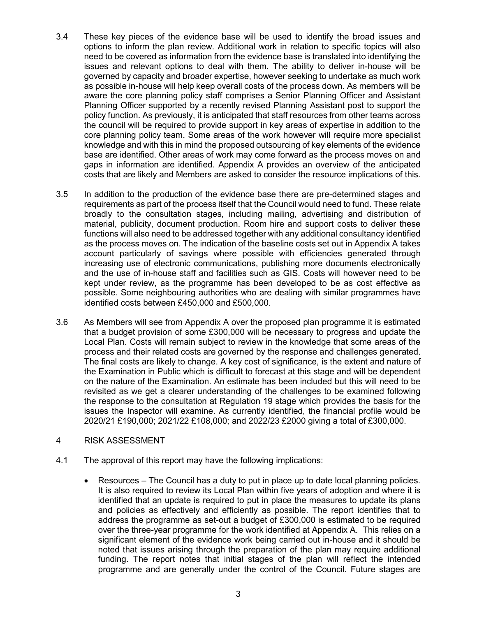- 3.4 These key pieces of the evidence base will be used to identify the broad issues and options to inform the plan review. Additional work in relation to specific topics will also need to be covered as information from the evidence base is translated into identifying the issues and relevant options to deal with them. The ability to deliver in-house will be governed by capacity and broader expertise, however seeking to undertake as much work as possible in-house will help keep overall costs of the process down. As members will be aware the core planning policy staff comprises a Senior Planning Officer and Assistant Planning Officer supported by a recently revised Planning Assistant post to support the policy function. As previously, it is anticipated that staff resources from other teams across the council will be required to provide support in key areas of expertise in addition to the core planning policy team. Some areas of the work however will require more specialist knowledge and with this in mind the proposed outsourcing of key elements of the evidence base are identified. Other areas of work may come forward as the process moves on and gaps in information are identified. Appendix A provides an overview of the anticipated costs that are likely and Members are asked to consider the resource implications of this.
- 3.5 In addition to the production of the evidence base there are pre-determined stages and requirements as part of the process itself that the Council would need to fund. These relate broadly to the consultation stages, including mailing, advertising and distribution of material, publicity, document production. Room hire and support costs to deliver these functions will also need to be addressed together with any additional consultancy identified as the process moves on. The indication of the baseline costs set out in Appendix A takes account particularly of savings where possible with efficiencies generated through increasing use of electronic communications, publishing more documents electronically and the use of in-house staff and facilities such as GIS. Costs will however need to be kept under review, as the programme has been developed to be as cost effective as possible. Some neighbouring authorities who are dealing with similar programmes have identified costs between £450,000 and £500,000.
- 3.6 As Members will see from Appendix A over the proposed plan programme it is estimated that a budget provision of some £300,000 will be necessary to progress and update the Local Plan. Costs will remain subject to review in the knowledge that some areas of the process and their related costs are governed by the response and challenges generated. The final costs are likely to change. A key cost of significance, is the extent and nature of the Examination in Public which is difficult to forecast at this stage and will be dependent on the nature of the Examination. An estimate has been included but this will need to be revisited as we get a clearer understanding of the challenges to be examined following the response to the consultation at Regulation 19 stage which provides the basis for the issues the Inspector will examine. As currently identified, the financial profile would be 2020/21 £190,000; 2021/22 £108,000; and 2022/23 £2000 giving a total of £300,000.
- 4 RISK ASSESSMENT
- 4.1 The approval of this report may have the following implications:
	- Resources The Council has a duty to put in place up to date local planning policies. It is also required to review its Local Plan within five years of adoption and where it is identified that an update is required to put in place the measures to update its plans and policies as effectively and efficiently as possible. The report identifies that to address the programme as set-out a budget of £300,000 is estimated to be required over the three-year programme for the work identified at Appendix A. This relies on a significant element of the evidence work being carried out in-house and it should be noted that issues arising through the preparation of the plan may require additional funding. The report notes that initial stages of the plan will reflect the intended programme and are generally under the control of the Council. Future stages are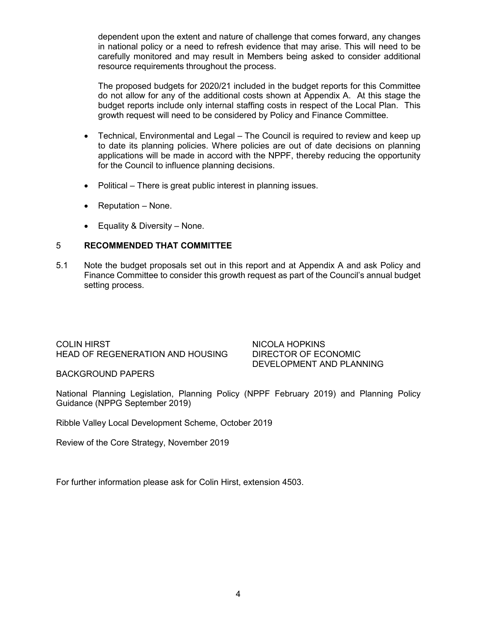dependent upon the extent and nature of challenge that comes forward, any changes in national policy or a need to refresh evidence that may arise. This will need to be carefully monitored and may result in Members being asked to consider additional resource requirements throughout the process.

The proposed budgets for 2020/21 included in the budget reports for this Committee do not allow for any of the additional costs shown at Appendix A. At this stage the budget reports include only internal staffing costs in respect of the Local Plan. This growth request will need to be considered by Policy and Finance Committee.

- Technical, Environmental and Legal The Council is required to review and keep up to date its planning policies. Where policies are out of date decisions on planning applications will be made in accord with the NPPF, thereby reducing the opportunity for the Council to influence planning decisions.
- Political There is great public interest in planning issues.
- Reputation None.
- Equality & Diversity None.

# 5 **RECOMMENDED THAT COMMITTEE**

5.1 Note the budget proposals set out in this report and at Appendix A and ask Policy and Finance Committee to consider this growth request as part of the Council's annual budget setting process.

COLIN HIRST NICOLA HOPKINS HEAD OF REGENERATION AND HOUSING DIRECTOR OF ECONOMIC

DEVELOPMENT AND PLANNING

BACKGROUND PAPERS

National Planning Legislation, Planning Policy (NPPF February 2019) and Planning Policy Guidance (NPPG September 2019)

Ribble Valley Local Development Scheme, October 2019

Review of the Core Strategy, November 2019

For further information please ask for Colin Hirst, extension 4503.